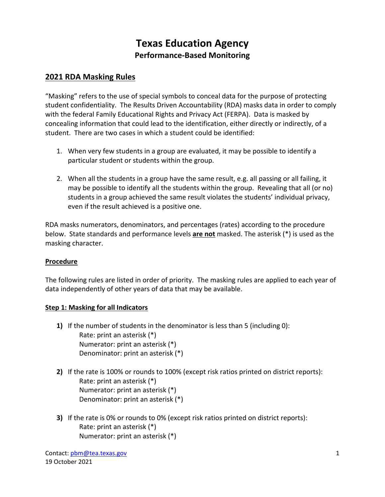# **Texas Education Agency Performance-Based Monitoring**

# **2021 RDA Masking Rules**

 student confidentiality. The Results Driven Accountability (RDA) masks data in order to comply with the federal Family Educational Rights and Privacy Act (FERPA). Data is masked by "Masking" refers to the use of special symbols to conceal data for the purpose of protecting concealing information that could lead to the identification, either directly or indirectly, of a student. There are two cases in which a student could be identified:

- 1. When very few students in a group are evaluated, it may be possible to identify a particular student or students within the group.
- 2. When all the students in a group have the same result, e.g. all passing or all failing, it may be possible to identify all the students within the group. Revealing that all (or no) students in a group achieved the same result violates the students' individual privacy, even if the result achieved is a positive one.

 RDA masks numerators, denominators, and percentages (rates) according to the procedure below. State standards and performance levels **are not** masked. The asterisk (\*) is used as the masking character.

#### **Procedure**

 The following rules are listed in order of priority. The masking rules are applied to each year of data independently of other years of data that may be available.

#### **Step 1: Masking for all Indicators**

- **1)** If the number of students in the denominator is less than 5 (including 0): Rate: print an asterisk (\*) Numerator: print an asterisk (\*) Denominator: print an asterisk (\*)
- **2)** If the rate is 100% or rounds to 100% (except risk ratios printed on district reports): Rate: print an asterisk (\*) Numerator: print an asterisk (\*) Denominator: print an asterisk (\*)
- **3)** If the rate is 0% or rounds to 0% (except risk ratios printed on district reports): Rate: print an asterisk (\*) Numerator: print an asterisk (\*)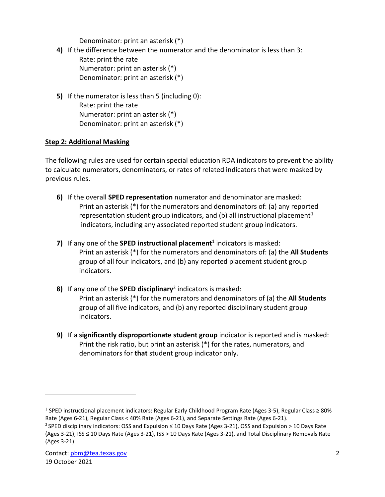Denominator: print an asterisk (\*)

- **4)** If the difference between the numerator and the denominator is less than 3: Rate: print the rate Numerator: print an asterisk (\*) Denominator: print an asterisk (\*)
- **5)** If the numerator is less than 5 (including 0): Rate: print the rate Numerator: print an asterisk (\*) Denominator: print an asterisk (\*)

## **Step 2: Additional Masking**

 The following rules are used for certain special education RDA indicators to prevent the ability to calculate numerators, denominators, or rates of related indicators that were masked by previous rules.

- **6)** If the overall **SPED representation** numerator and denominator are masked: Print an asterisk (\*) for the numerators and denominators of: (a) any reported representation student group indicators, and (b) all instructional placement<sup>1</sup> indicators, including any associated reported student group indicators.
- **7)** If any one of the **SPED instructional placement**<sup>1</sup> indicators is masked: Print an asterisk (\*) for the numerators and denominators of: (a) the **All Students**  group of all four indicators, and (b) any reported placement student group indicators.
- Print an asterisk (\*) for the numerators and denominators of (a) the **All Students 8)** If any one of the **SPED disciplinary**2 indicators is masked: group of all five indicators, and (b) any reported disciplinary student group indicators.
- Print the risk ratio, but print an asterisk (\*) for the rates, numerators, and **9)** If a **significantly disproportionate student group** indicator is reported and is masked: denominators for **that** student group indicator only.

<span id="page-1-0"></span><sup>&</sup>lt;sup>1</sup> SPED instructional placement indicators: Regular Early Childhood Program Rate (Ages 3-5), Regular Class ≥ 80% Rate (Ages 6-21), Regular Class < 40% Rate (Ages 6-21), and Separate Settings Rate (Ages 6-21).

Rate (Ages 6-21), Regular Class < 40% Rate (Ages 6-21), and Separate Settings Rate (Ages 6-21).<br><sup>2</sup> SPED disciplinary indicators: OSS and Expulsion ≤ 10 Days Rate (Ages 3-21), OSS and Expulsion > 10 Days Rate (Ages 3-21), ISS ≤ 10 Days Rate (Ages 3-21), ISS > 10 Days Rate (Ages 3-21), and Total Disciplinary Removals Rate (Ages 3-21).